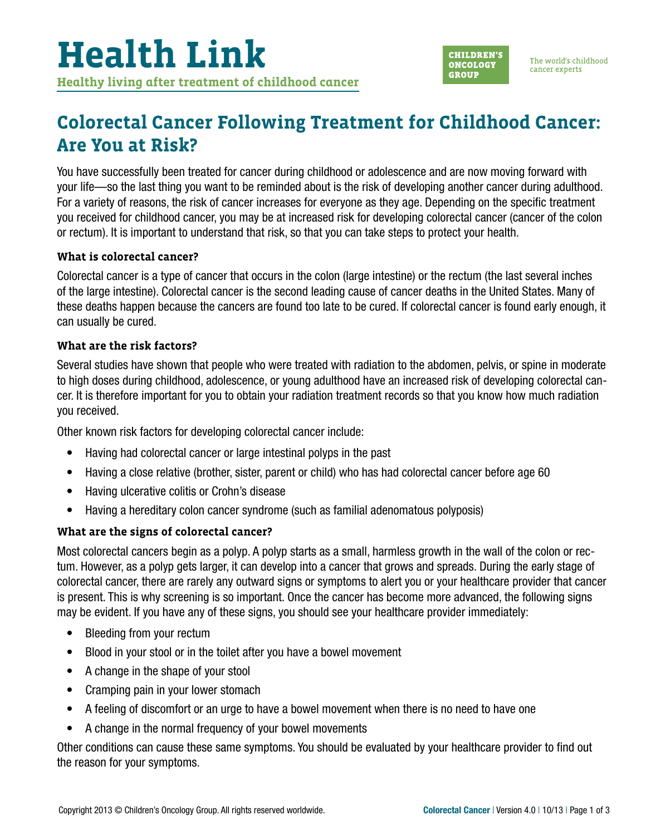

## **Colorectal Cancer Following Treatment for Childhood Cancer: Are You at Risk?**

You have successfully been treated for cancer during childhood or adolescence and are now moving forward with your life—so the last thing you want to be reminded about is the risk of developing another cancer during adulthood. For a variety of reasons, the risk of cancer increases for everyone as they age. Depending on the specific treatment you received for childhood cancer, you may be at increased risk for developing colorectal cancer (cancer of the colon or rectum). It is important to understand that risk, so that you can take steps to protect your health.

#### **What is colorectal cancer?**

Colorectal cancer is a type of cancer that occurs in the colon (large intestine) or the rectum (the last several inches of the large intestine). Colorectal cancer is the second leading cause of cancer deaths in the United States. Many of these deaths happen because the cancers are found too late to be cured. If colorectal cancer is found early enough, it can usually be cured.

#### **What are the risk factors?**

Several studies have shown that people who were treated with radiation to the abdomen, pelvis, or spine in moderate to high doses during childhood, adolescence, or young adulthood have an increased risk of developing colorectal cancer. It is therefore important for you to obtain your radiation treatment records so that you know how much radiation you received.

Other known risk factors for developing colorectal cancer include:

- Having had colorectal cancer or large intestinal polyps in the past
- Having a close relative (brother, sister, parent or child) who has had colorectal cancer before age 60
- Having ulcerative colitis or Crohn's disease
- Having a hereditary colon cancer syndrome (such as familial adenomatous polyposis)

### **What are the signs of colorectal cancer?**

Most colorectal cancers begin as a polyp. A polyp starts as a small, harmless growth in the wall of the colon or rectum. However, as a polyp gets larger, it can develop into a cancer that grows and spreads. During the early stage of colorectal cancer, there are rarely any outward signs or symptoms to alert you or your healthcare provider that cancer is present. This is why screening is so important. Once the cancer has become more advanced, the following signs may be evident. If you have any of these signs, you should see your healthcare provider immediately:

- Bleeding from your rectum
- Blood in your stool or in the toilet after you have a bowel movement
- A change in the shape of your stool
- Cramping pain in your lower stomach
- A feeling of discomfort or an urge to have a bowel movement when there is no need to have one
- A change in the normal frequency of your bowel movements

Other conditions can cause these same symptoms. You should be evaluated by your healthcare provider to find out the reason for your symptoms.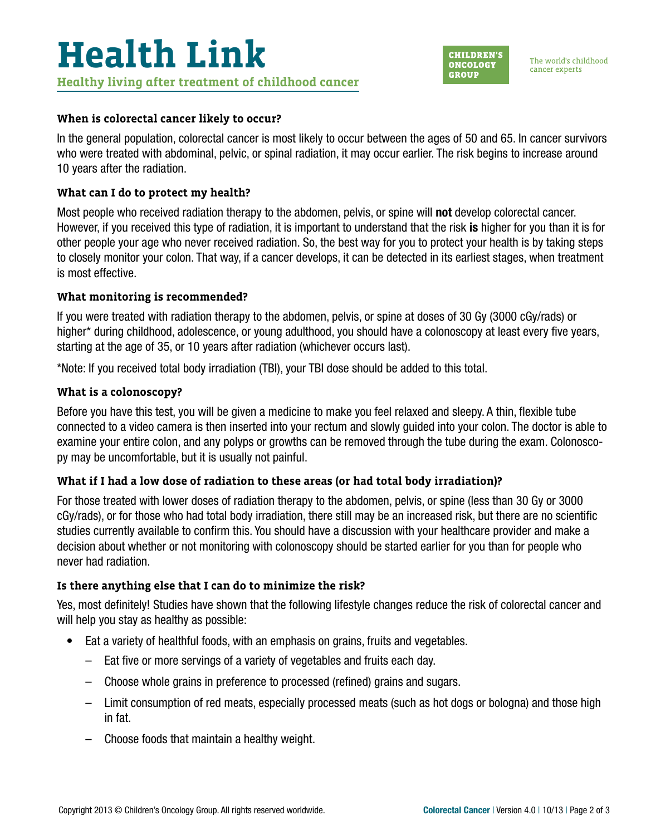# **Health Link Healthy living after treatment of childhood cancer**

**CHILDREN'S ONCOLOGY GROUP** 

The world's childhood cancer experts

#### **When is colorectal cancer likely to occur?**

In the general population, colorectal cancer is most likely to occur between the ages of 50 and 65. In cancer survivors who were treated with abdominal, pelvic, or spinal radiation, it may occur earlier. The risk begins to increase around 10 years after the radiation.

#### **What can I do to protect my health?**

Most people who received radiation therapy to the abdomen, pelvis, or spine will not develop colorectal cancer. However, if you received this type of radiation, it is important to understand that the risk is higher for you than it is for other people your age who never received radiation. So, the best way for you to protect your health is by taking steps to closely monitor your colon. That way, if a cancer develops, it can be detected in its earliest stages, when treatment is most effective.

#### **What monitoring is recommended?**

If you were treated with radiation therapy to the abdomen, pelvis, or spine at doses of 30 Gy (3000 cGy/rads) or higher\* during childhood, adolescence, or young adulthood, you should have a colonoscopy at least every five years, starting at the age of 35, or 10 years after radiation (whichever occurs last).

\*Note: If you received total body irradiation (TBI), your TBI dose should be added to this total.

#### **What is a colonoscopy?**

Before you have this test, you will be given a medicine to make you feel relaxed and sleepy. A thin, flexible tube connected to a video camera is then inserted into your rectum and slowly guided into your colon. The doctor is able to examine your entire colon, and any polyps or growths can be removed through the tube during the exam. Colonoscopy may be uncomfortable, but it is usually not painful.

### **What if I had a low dose of radiation to these areas (or had total body irradiation)?**

For those treated with lower doses of radiation therapy to the abdomen, pelvis, or spine (less than 30 Gy or 3000 cGy/rads), or for those who had total body irradiation, there still may be an increased risk, but there are no scientific studies currently available to confirm this. You should have a discussion with your healthcare provider and make a decision about whether or not monitoring with colonoscopy should be started earlier for you than for people who never had radiation.

### **Is there anything else that I can do to minimize the risk?**

Yes, most definitely! Studies have shown that the following lifestyle changes reduce the risk of colorectal cancer and will help you stay as healthy as possible:

- Eat a variety of healthful foods, with an emphasis on grains, fruits and vegetables.
	- Eat five or more servings of a variety of vegetables and fruits each day.
	- Choose whole grains in preference to processed (refined) grains and sugars.
	- Limit consumption of red meats, especially processed meats (such as hot dogs or bologna) and those high in fat.
	- Choose foods that maintain a healthy weight.